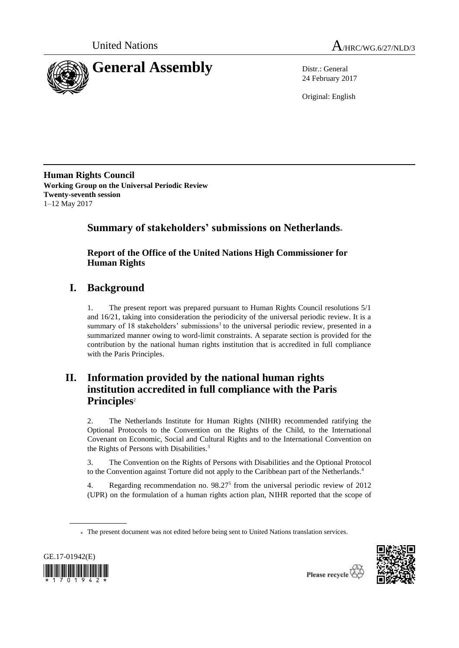



24 February 2017

Original: English

**Human Rights Council Working Group on the Universal Periodic Review Twenty-seventh session** 1–12 May 2017

# **Summary of stakeholders' submissions on Netherlands**\*

## **Report of the Office of the United Nations High Commissioner for Human Rights**

# **I. Background**

1. The present report was prepared pursuant to Human Rights Council resolutions 5/1 and 16/21, taking into consideration the periodicity of the universal periodic review. It is a summary of 18 stakeholders' submissions<sup>1</sup> to the universal periodic review, presented in a summarized manner owing to word-limit constraints. A separate section is provided for the contribution by the national human rights institution that is accredited in full compliance with the Paris Principles.

# **II. Information provided by the national human rights institution accredited in full compliance with the Paris Principles**<sup>2</sup>

2. The Netherlands Institute for Human Rights (NIHR) recommended ratifying the Optional Protocols to the Convention on the Rights of the Child, to the International Covenant on Economic, Social and Cultural Rights and to the International Convention on the Rights of Persons with Disabilities.<sup>3</sup>

3. The Convention on the Rights of Persons with Disabilities and the Optional Protocol to the Convention against Torture did not apply to the Caribbean part of the Netherlands.<sup>4</sup>

4. Regarding recommendation no.  $98.27<sup>5</sup>$  from the universal periodic review of 2012 (UPR) on the formulation of a human rights action plan, NIHR reported that the scope of

<sup>\*</sup> The present document was not edited before being sent to United Nations translation services.



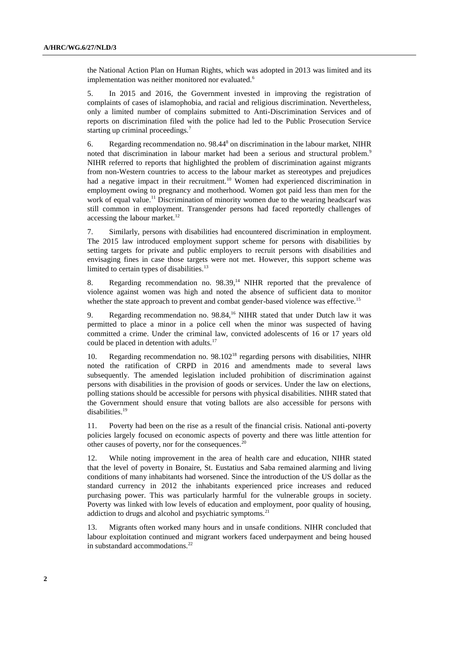the National Action Plan on Human Rights, which was adopted in 2013 was limited and its implementation was neither monitored nor evaluated.<sup>6</sup>

5. In 2015 and 2016, the Government invested in improving the registration of complaints of cases of islamophobia, and racial and religious discrimination. Nevertheless, only a limited number of complains submitted to Anti-Discrimination Services and of reports on discrimination filed with the police had led to the Public Prosecution Service starting up criminal proceedings.<sup>7</sup>

6. Regarding recommendation no. 98.44<sup>8</sup> on discrimination in the labour market, NIHR noted that discrimination in labour market had been a serious and structural problem.<sup>9</sup> NIHR referred to reports that highlighted the problem of discrimination against migrants from non-Western countries to access to the labour market as stereotypes and prejudices had a negative impact in their recruitment.<sup>10</sup> Women had experienced discrimination in employment owing to pregnancy and motherhood. Women got paid less than men for the work of equal value.<sup>11</sup> Discrimination of minority women due to the wearing headscarf was still common in employment. Transgender persons had faced reportedly challenges of accessing the labour market.<sup>12</sup>

7. Similarly, persons with disabilities had encountered discrimination in employment. The 2015 law introduced employment support scheme for persons with disabilities by setting targets for private and public employers to recruit persons with disabilities and envisaging fines in case those targets were not met. However, this support scheme was limited to certain types of disabilities. $13$ 

8. Regarding recommendation no. 98.39, <sup>14</sup> NIHR reported that the prevalence of violence against women was high and noted the absence of sufficient data to monitor whether the state approach to prevent and combat gender-based violence was effective.<sup>15</sup>

9. Regarding recommendation no.  $98.84$ ,<sup>16</sup> NIHR stated that under Dutch law it was permitted to place a minor in a police cell when the minor was suspected of having committed a crime. Under the criminal law, convicted adolescents of 16 or 17 years old could be placed in detention with adults.<sup>17</sup>

10. Regarding recommendation no. 98.102<sup>18</sup> regarding persons with disabilities, NIHR noted the ratification of CRPD in 2016 and amendments made to several laws subsequently. The amended legislation included prohibition of discrimination against persons with disabilities in the provision of goods or services. Under the law on elections, polling stations should be accessible for persons with physical disabilities. NIHR stated that the Government should ensure that voting ballots are also accessible for persons with disabilities.<sup>19</sup>

11. Poverty had been on the rise as a result of the financial crisis. National anti-poverty policies largely focused on economic aspects of poverty and there was little attention for other causes of poverty, nor for the consequences.<sup>20</sup>

12. While noting improvement in the area of health care and education, NIHR stated that the level of poverty in Bonaire, St. Eustatius and Saba remained alarming and living conditions of many inhabitants had worsened. Since the introduction of the US dollar as the standard currency in 2012 the inhabitants experienced price increases and reduced purchasing power. This was particularly harmful for the vulnerable groups in society. Poverty was linked with low levels of education and employment, poor quality of housing, addiction to drugs and alcohol and psychiatric symptoms.<sup>21</sup>

13. Migrants often worked many hours and in unsafe conditions. NIHR concluded that labour exploitation continued and migrant workers faced underpayment and being housed in substandard accommodations.<sup>22</sup>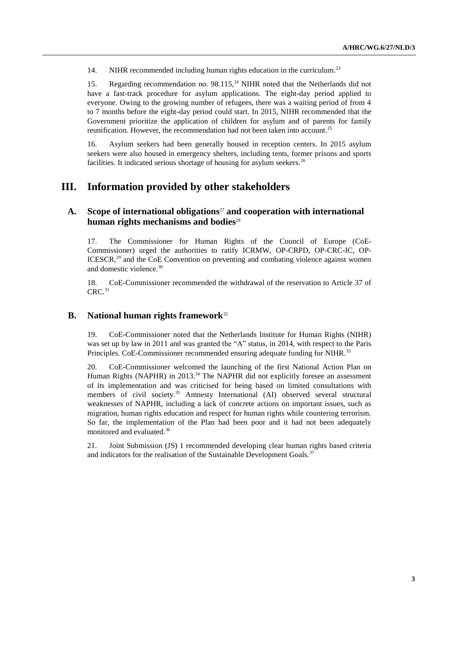14. NIHR recommended including human rights education in the curriculum.<sup>23</sup>

15. Regarding recommendation no. 98.115<sup>24</sup> NIHR noted that the Netherlands did not have a fast-track procedure for asylum applications. The eight-day period applied to everyone. Owing to the growing number of refugees, there was a waiting period of from 4 to 7 months before the eight-day period could start. In 2015, NIHR recommended that the Government prioritize the application of children for asylum and of parents for family reunification. However, the recommendation had not been taken into account.<sup>25</sup>

16. Asylum seekers had been generally housed in reception centers. In 2015 asylum seekers were also housed in emergency shelters, including tents, former prisons and sports facilities. It indicated serious shortage of housing for asylum seekers.<sup>26</sup>

## **III. Information provided by other stakeholders**

## **A. Scope of international obligations**<sup>27</sup> **and cooperation with international human rights mechanisms and bodies**<sup>28</sup>

17. The Commissioner for Human Rights of the Council of Europe (CoE-Commissioner) urged the authorities to ratify ICRMW, OP-CRPD, OP-CRC-IC, OP-ICESCR, $^{29}$  and the CoE Convention on preventing and combating violence against women and domestic violence. 30

18. CoE-Commissioner recommended the withdrawal of the reservation to Article 37 of  $CRC.<sup>31</sup>$ 

## **B. National human rights framework**<sup>32</sup>

19. CoE-Commissioner noted that the Netherlands Institute for Human Rights (NIHR) was set up by law in 2011 and was granted the "A" status, in 2014, with respect to the Paris Principles. CoE-Commissioner recommended ensuring adequate funding for NIHR.<sup>33</sup>

20. CoE-Commissioner welcomed the launching of the first National Action Plan on Human Rights (NAPHR) in 2013.<sup>34</sup> The NAPHR did not explicitly foresee an assessment of its implementation and was criticised for being based on limited consultations with members of civil society.<sup>35</sup> Amnesty International (AI) observed several structural weaknesses of NAPHR, including a lack of concrete actions on important issues, such as migration, human rights education and respect for human rights while countering terrorism. So far, the implementation of the Plan had been poor and it had not been adequately monitored and evaluated.<sup>36</sup>

21. Joint Submission (JS) 1 recommended developing clear human rights based criteria and indicators for the realisation of the Sustainable Development Goals.<sup>37</sup>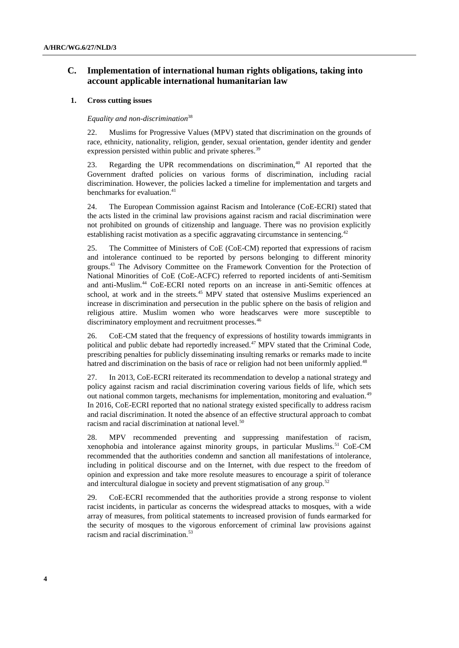## **C. Implementation of international human rights obligations, taking into account applicable international humanitarian law**

#### **1. Cross cutting issues**

#### *Equality and non-discrimination*<sup>38</sup>

22. Muslims for Progressive Values (MPV) stated that discrimination on the grounds of race, ethnicity, nationality, religion, gender, sexual orientation, gender identity and gender expression persisted within public and private spheres.<sup>39</sup>

23. Regarding the UPR recommendations on discrimination, $40$  AI reported that the Government drafted policies on various forms of discrimination, including racial discrimination. However, the policies lacked a timeline for implementation and targets and benchmarks for evaluation. 41

24. The European Commission against Racism and Intolerance (CoE-ECRI) stated that the acts listed in the criminal law provisions against racism and racial discrimination were not prohibited on grounds of citizenship and language. There was no provision explicitly establishing racist motivation as a specific aggravating circumstance in sentencing.<sup>42</sup>

25. The Committee of Ministers of CoE (CoE-CM) reported that expressions of racism and intolerance continued to be reported by persons belonging to different minority groups.<sup>43</sup> The Advisory Committee on the Framework Convention for the Protection of National Minorities of CoE (CoE-ACFC) referred to reported incidents of anti-Semitism and anti-Muslim.<sup>44</sup> CoE-ECRI noted reports on an increase in anti-Semitic offences at school, at work and in the streets.<sup>45</sup> MPV stated that ostensive Muslims experienced an increase in discrimination and persecution in the public sphere on the basis of religion and religious attire. Muslim women who wore headscarves were more susceptible to discriminatory employment and recruitment processes.<sup>46</sup>

26. CoE-CM stated that the frequency of expressions of hostility towards immigrants in political and public debate had reportedly increased.<sup>47</sup> MPV stated that the Criminal Code, prescribing penalties for publicly disseminating insulting remarks or remarks made to incite hatred and discrimination on the basis of race or religion had not been uniformly applied.<sup>48</sup>

27. In 2013, CoE-ECRI reiterated its recommendation to develop a national strategy and policy against racism and racial discrimination covering various fields of life, which sets out national common targets, mechanisms for implementation, monitoring and evaluation.<sup>49</sup> In 2016, CoE-ECRI reported that no national strategy existed specifically to address racism and racial discrimination. It noted the absence of an effective structural approach to combat racism and racial discrimination at national level.<sup>50</sup>

28. MPV recommended preventing and suppressing manifestation of racism, xenophobia and intolerance against minority groups, in particular Muslims.<sup>51</sup> CoE-CM recommended that the authorities condemn and sanction all manifestations of intolerance, including in political discourse and on the Internet, with due respect to the freedom of opinion and expression and take more resolute measures to encourage a spirit of tolerance and intercultural dialogue in society and prevent stigmatisation of any group.<sup>52</sup>

29. CoE-ECRI recommended that the authorities provide a strong response to violent racist incidents, in particular as concerns the widespread attacks to mosques, with a wide array of measures, from political statements to increased provision of funds earmarked for the security of mosques to the vigorous enforcement of criminal law provisions against racism and racial discrimination.<sup>53</sup>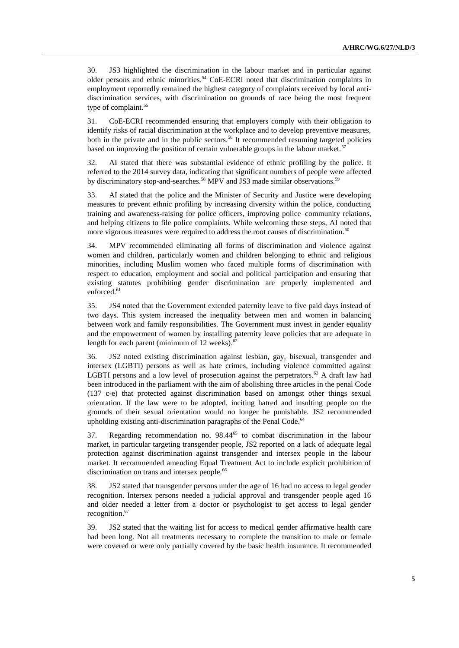30. JS3 highlighted the discrimination in the labour market and in particular against older persons and ethnic minorities.<sup>54</sup> CoE-ECRI noted that discrimination complaints in employment reportedly remained the highest category of complaints received by local antidiscrimination services, with discrimination on grounds of race being the most frequent type of complaint.<sup>55</sup>

31. CoE-ECRI recommended ensuring that employers comply with their obligation to identify risks of racial discrimination at the workplace and to develop preventive measures, both in the private and in the public sectors.<sup>56</sup> It recommended resuming targeted policies based on improving the position of certain vulnerable groups in the labour market.<sup>57</sup>

32. AI stated that there was substantial evidence of ethnic profiling by the police. It referred to the 2014 survey data, indicating that significant numbers of people were affected by discriminatory stop-and-searches.<sup>58</sup> MPV and JS3 made similar observations.<sup>59</sup>

33. AI stated that the police and the Minister of Security and Justice were developing measures to prevent ethnic profiling by increasing diversity within the police, conducting training and awareness-raising for police officers, improving police–community relations, and helping citizens to file police complaints. While welcoming these steps, AI noted that more vigorous measures were required to address the root causes of discrimination.<sup>60</sup>

34. MPV recommended eliminating all forms of discrimination and violence against women and children, particularly women and children belonging to ethnic and religious minorities, including Muslim women who faced multiple forms of discrimination with respect to education, employment and social and political participation and ensuring that existing statutes prohibiting gender discrimination are properly implemented and enforced.<sup>61</sup>

35. JS4 noted that the Government extended paternity leave to five paid days instead of two days. This system increased the inequality between men and women in balancing between work and family responsibilities. The Government must invest in gender equality and the empowerment of women by installing paternity leave policies that are adequate in length for each parent (minimum of 12 weeks).<sup>62</sup>

36. JS2 noted existing discrimination against lesbian, gay, bisexual, transgender and intersex (LGBTI) persons as well as hate crimes, including violence committed against LGBTI persons and a low level of prosecution against the perpetrators.<sup>63</sup> A draft law had been introduced in the parliament with the aim of abolishing three articles in the penal Code (137 c-e) that protected against discrimination based on amongst other things sexual orientation. If the law were to be adopted, inciting hatred and insulting people on the grounds of their sexual orientation would no longer be punishable. JS2 recommended upholding existing anti-discrimination paragraphs of the Penal Code.<sup>64</sup>

37. Regarding recommendation no. 98.44<sup>65</sup> to combat discrimination in the labour market, in particular targeting transgender people, JS2 reported on a lack of adequate legal protection against discrimination against transgender and intersex people in the labour market. It recommended amending Equal Treatment Act to include explicit prohibition of discrimination on trans and intersex people.<sup>66</sup>

38. JS2 stated that transgender persons under the age of 16 had no access to legal gender recognition. Intersex persons needed a judicial approval and transgender people aged 16 and older needed a letter from a doctor or psychologist to get access to legal gender recognition.<sup>67</sup>

39. JS2 stated that the waiting list for access to medical gender affirmative health care had been long. Not all treatments necessary to complete the transition to male or female were covered or were only partially covered by the basic health insurance. It recommended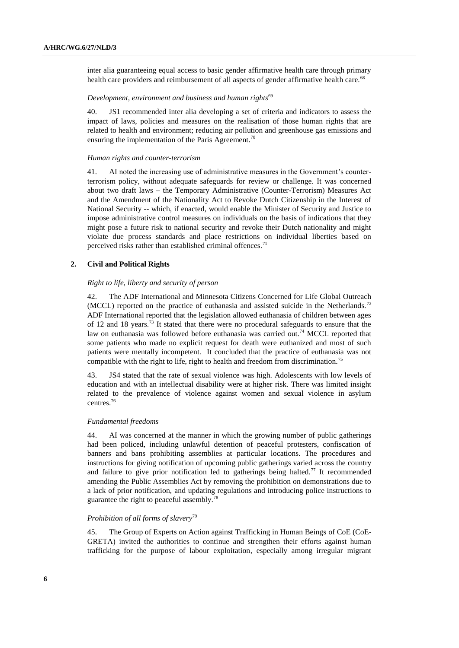inter alia guaranteeing equal access to basic gender affirmative health care through primary health care providers and reimbursement of all aspects of gender affirmative health care.<sup>68</sup>

#### *Development, environment and business and human rights*<sup>69</sup>

40. JS1 recommended inter alia developing a set of criteria and indicators to assess the impact of laws, policies and measures on the realisation of those human rights that are related to health and environment; reducing air pollution and greenhouse gas emissions and ensuring the implementation of the Paris Agreement.<sup>70</sup>

#### *Human rights and counter-terrorism*

41. AI noted the increasing use of administrative measures in the Government's counterterrorism policy, without adequate safeguards for review or challenge. It was concerned about two draft laws – the Temporary Administrative (Counter-Terrorism) Measures Act and the Amendment of the Nationality Act to Revoke Dutch Citizenship in the Interest of National Security -- which, if enacted, would enable the Minister of Security and Justice to impose administrative control measures on individuals on the basis of indications that they might pose a future risk to national security and revoke their Dutch nationality and might violate due process standards and place restrictions on individual liberties based on perceived risks rather than established criminal offences.<sup>71</sup>

#### **2. Civil and Political Rights**

#### *Right to life, liberty and security of person*

42. The ADF International and Minnesota Citizens Concerned for Life Global Outreach (MCCL) reported on the practice of euthanasia and assisted suicide in the Netherlands.<sup>72</sup> ADF International reported that the legislation allowed euthanasia of children between ages of 12 and 18 years.<sup>73</sup> It stated that there were no procedural safeguards to ensure that the law on euthanasia was followed before euthanasia was carried out.<sup>74</sup> MCCL reported that some patients who made no explicit request for death were euthanized and most of such patients were mentally incompetent. It concluded that the practice of euthanasia was not compatible with the right to life, right to health and freedom from discrimination.<sup>75</sup>

43. JS4 stated that the rate of sexual violence was high. Adolescents with low levels of education and with an intellectual disability were at higher risk. There was limited insight related to the prevalence of violence against women and sexual violence in asylum centres. 76

#### *Fundamental freedoms*

44. AI was concerned at the manner in which the growing number of public gatherings had been policed, including unlawful detention of peaceful protesters, confiscation of banners and bans prohibiting assemblies at particular locations. The procedures and instructions for giving notification of upcoming public gatherings varied across the country and failure to give prior notification led to gatherings being halted.<sup>77</sup> It recommended amending the Public Assemblies Act by removing the prohibition on demonstrations due to a lack of prior notification, and updating regulations and introducing police instructions to guarantee the right to peaceful assembly.<sup>7</sup>

### *Prohibition of all forms of slavery*<sup>79</sup>

45. The Group of Experts on Action against Trafficking in Human Beings of CoE (CoE-GRETA) invited the authorities to continue and strengthen their efforts against human trafficking for the purpose of labour exploitation, especially among irregular migrant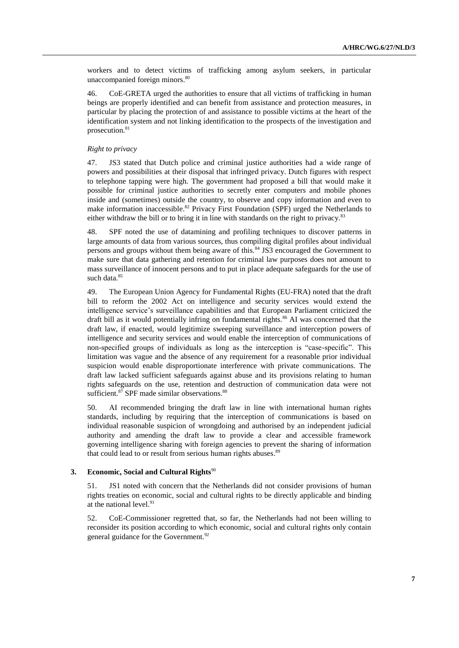workers and to detect victims of trafficking among asylum seekers, in particular unaccompanied foreign minors. 80

46. CoE-GRETA urged the authorities to ensure that all victims of trafficking in human beings are properly identified and can benefit from assistance and protection measures, in particular by placing the protection of and assistance to possible victims at the heart of the identification system and not linking identification to the prospects of the investigation and prosecution.<sup>81</sup>

#### *Right to privacy*

47. JS3 stated that Dutch police and criminal justice authorities had a wide range of powers and possibilities at their disposal that infringed privacy. Dutch figures with respect to telephone tapping were high. The government had proposed a bill that would make it possible for criminal justice authorities to secretly enter computers and mobile phones inside and (sometimes) outside the country, to observe and copy information and even to make information inaccessible.<sup>82</sup> Privacy First Foundation (SPF) urged the Netherlands to either withdraw the bill or to bring it in line with standards on the right to privacy.<sup>83</sup>

48. SPF noted the use of datamining and profiling techniques to discover patterns in large amounts of data from various sources, thus compiling digital profiles about individual persons and groups without them being aware of this.<sup>84</sup> JS3 encouraged the Government to make sure that data gathering and retention for criminal law purposes does not amount to mass surveillance of innocent persons and to put in place adequate safeguards for the use of such data.<sup>85</sup>

49. The European Union Agency for Fundamental Rights (EU-FRA) noted that the draft bill to reform the 2002 Act on intelligence and security services would extend the intelligence service's surveillance capabilities and that European Parliament criticized the draft bill as it would potentially infring on fundamental rights.<sup>86</sup> AI was concerned that the draft law, if enacted, would legitimize sweeping surveillance and interception powers of intelligence and security services and would enable the interception of communications of non-specified groups of individuals as long as the interception is "case-specific". This limitation was vague and the absence of any requirement for a reasonable prior individual suspicion would enable disproportionate interference with private communications. The draft law lacked sufficient safeguards against abuse and its provisions relating to human rights safeguards on the use, retention and destruction of communication data were not sufficient.<sup>87</sup> SPF made similar observations.<sup>88</sup>

50. AI recommended bringing the draft law in line with international human rights standards, including by requiring that the interception of communications is based on individual reasonable suspicion of wrongdoing and authorised by an independent judicial authority and amending the draft law to provide a clear and accessible framework governing intelligence sharing with foreign agencies to prevent the sharing of information that could lead to or result from serious human rights abuses.<sup>89</sup>

#### **3. Economic, Social and Cultural Rights**<sup>90</sup>

51. JS1 noted with concern that the Netherlands did not consider provisions of human rights treaties on economic, social and cultural rights to be directly applicable and binding at the national level. 91

52. CoE-Commissioner regretted that, so far, the Netherlands had not been willing to reconsider its position according to which economic, social and cultural rights only contain general guidance for the Government.<sup>92</sup>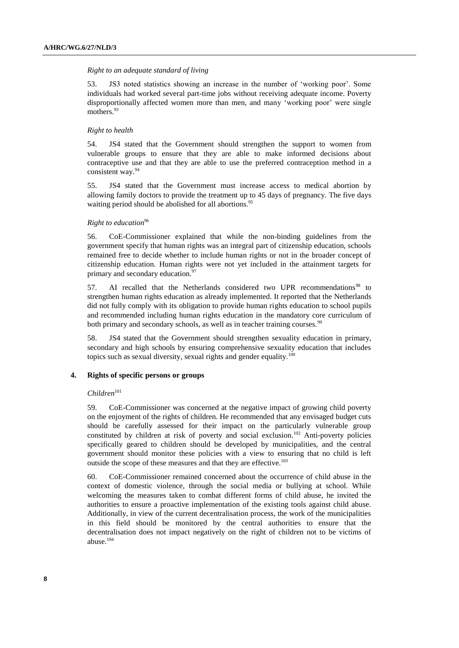#### *Right to an adequate standard of living*

53. JS3 noted statistics showing an increase in the number of 'working poor'. Some individuals had worked several part-time jobs without receiving adequate income. Poverty disproportionally affected women more than men, and many 'working poor' were single mothers.<sup>93</sup>

#### *Right to health*

54. JS4 stated that the Government should strengthen the support to women from vulnerable groups to ensure that they are able to make informed decisions about contraceptive use and that they are able to use the preferred contraception method in a consistent way.<sup>94</sup>

55. JS4 stated that the Government must increase access to medical abortion by allowing family doctors to provide the treatment up to 45 days of pregnancy. The five days waiting period should be abolished for all abortions.<sup>95</sup>

### *Right to education*<sup>96</sup>

56. CoE-Commissioner explained that while the non-binding guidelines from the government specify that human rights was an integral part of citizenship education, schools remained free to decide whether to include human rights or not in the broader concept of citizenship education. Human rights were not yet included in the attainment targets for primary and secondary education.<sup>97</sup>

57. AI recalled that the Netherlands considered two UPR recommendations<sup>98</sup> to strengthen human rights education as already implemented. It reported that the Netherlands did not fully comply with its obligation to provide human rights education to school pupils and recommended including human rights education in the mandatory core curriculum of both primary and secondary schools, as well as in teacher training courses.<sup>99</sup>

58. JS4 stated that the Government should strengthen sexuality education in primary, secondary and high schools by ensuring comprehensive sexuality education that includes topics such as sexual diversity, sexual rights and gender equality.<sup>100</sup>

#### **4. Rights of specific persons or groups**

#### $Children<sup>101</sup>$

59. CoE-Commissioner was concerned at the negative impact of growing child poverty on the enjoyment of the rights of children. He recommended that any envisaged budget cuts should be carefully assessed for their impact on the particularly vulnerable group constituted by children at risk of poverty and social exclusion.<sup>102</sup> Anti-poverty policies specifically geared to children should be developed by municipalities, and the central government should monitor these policies with a view to ensuring that no child is left outside the scope of these measures and that they are effective.<sup>103</sup>

60. CoE-Commissioner remained concerned about the occurrence of child abuse in the context of domestic violence, through the social media or bullying at school. While welcoming the measures taken to combat different forms of child abuse, he invited the authorities to ensure a proactive implementation of the existing tools against child abuse. Additionally, in view of the current decentralisation process, the work of the municipalities in this field should be monitored by the central authorities to ensure that the decentralisation does not impact negatively on the right of children not to be victims of abuse.104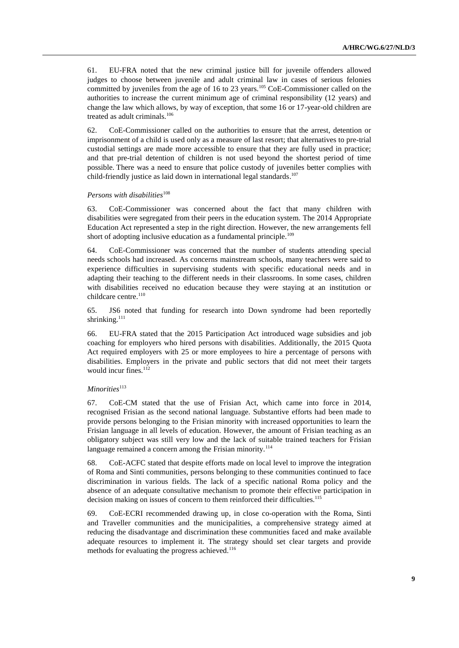61. EU-FRA noted that the new criminal justice bill for juvenile offenders allowed judges to choose between juvenile and adult criminal law in cases of serious felonies committed by juveniles from the age of 16 to 23 years.<sup>105</sup> CoE-Commissioner called on the authorities to increase the current minimum age of criminal responsibility (12 years) and change the law which allows, by way of exception, that some 16 or 17-year-old children are treated as adult criminals.<sup>106</sup>

62. CoE-Commissioner called on the authorities to ensure that the arrest, detention or imprisonment of a child is used only as a measure of last resort; that alternatives to pre-trial custodial settings are made more accessible to ensure that they are fully used in practice; and that pre-trial detention of children is not used beyond the shortest period of time possible. There was a need to ensure that police custody of juveniles better complies with child-friendly justice as laid down in international legal standards. 107

#### *Persons with disabilities*<sup>108</sup>

63. CoE-Commissioner was concerned about the fact that many children with disabilities were segregated from their peers in the education system. The 2014 Appropriate Education Act represented a step in the right direction. However, the new arrangements fell short of adopting inclusive education as a fundamental principle.<sup>109</sup>

64. CoE-Commissioner was concerned that the number of students attending special needs schools had increased. As concerns mainstream schools, many teachers were said to experience difficulties in supervising students with specific educational needs and in adapting their teaching to the different needs in their classrooms. In some cases, children with disabilities received no education because they were staying at an institution or childcare centre.<sup>110</sup>

65. JS6 noted that funding for research into Down syndrome had been reportedly shrinking.<sup>111</sup>

66. EU-FRA stated that the 2015 Participation Act introduced wage subsidies and job coaching for employers who hired persons with disabilities. Additionally, the 2015 Quota Act required employers with 25 or more employees to hire a percentage of persons with disabilities. Employers in the private and public sectors that did not meet their targets would incur fines. $112$ 

## *Minorities*<sup>113</sup>

67. CoE-CM stated that the use of Frisian Act, which came into force in 2014, recognised Frisian as the second national language. Substantive efforts had been made to provide persons belonging to the Frisian minority with increased opportunities to learn the Frisian language in all levels of education. However, the amount of Frisian teaching as an obligatory subject was still very low and the lack of suitable trained teachers for Frisian language remained a concern among the Frisian minority.<sup>114</sup>

68. CoE-ACFC stated that despite efforts made on local level to improve the integration of Roma and Sinti communities, persons belonging to these communities continued to face discrimination in various fields. The lack of a specific national Roma policy and the absence of an adequate consultative mechanism to promote their effective participation in decision making on issues of concern to them reinforced their difficulties.<sup>115</sup>

69. CoE-ECRI recommended drawing up, in close co-operation with the Roma, Sinti and Traveller communities and the municipalities, a comprehensive strategy aimed at reducing the disadvantage and discrimination these communities faced and make available adequate resources to implement it. The strategy should set clear targets and provide methods for evaluating the progress achieved.<sup>116</sup>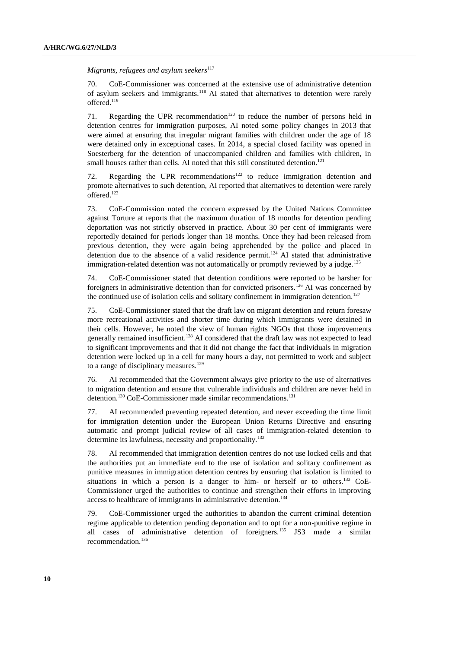*Migrants, refugees and asylum seekers*<sup>117</sup>

70. CoE-Commissioner was concerned at the extensive use of administrative detention of asylum seekers and immigrants.<sup>118</sup> AI stated that alternatives to detention were rarely offered.<sup>119</sup>

71. Regarding the UPR recommendation<sup>120</sup> to reduce the number of persons held in detention centres for immigration purposes, AI noted some policy changes in 2013 that were aimed at ensuring that irregular migrant families with children under the age of 18 were detained only in exceptional cases. In 2014, a special closed facility was opened in Soesterberg for the detention of unaccompanied children and families with children, in small houses rather than cells. AI noted that this still constituted detention.<sup>121</sup>

72. Regarding the UPR recommendations<sup>122</sup> to reduce immigration detention and promote alternatives to such detention, AI reported that alternatives to detention were rarely offered. 123

73. CoE-Commission noted the concern expressed by the United Nations Committee against Torture at reports that the maximum duration of 18 months for detention pending deportation was not strictly observed in practice. About 30 per cent of immigrants were reportedly detained for periods longer than 18 months. Once they had been released from previous detention, they were again being apprehended by the police and placed in detention due to the absence of a valid residence permit.<sup>124</sup> AI stated that administrative immigration-related detention was not automatically or promptly reviewed by a judge.<sup>125</sup>

74. CoE-Commissioner stated that detention conditions were reported to be harsher for foreigners in administrative detention than for convicted prisoners.<sup>126</sup> AI was concerned by the continued use of isolation cells and solitary confinement in immigration detention.<sup>127</sup>

75. CoE-Commissioner stated that the draft law on migrant detention and return foresaw more recreational activities and shorter time during which immigrants were detained in their cells. However, he noted the view of human rights NGOs that those improvements generally remained insufficient.<sup>128</sup> AI considered that the draft law was not expected to lead to significant improvements and that it did not change the fact that individuals in migration detention were locked up in a cell for many hours a day, not permitted to work and subject to a range of disciplinary measures.<sup>129</sup>

76. AI recommended that the Government always give priority to the use of alternatives to migration detention and ensure that vulnerable individuals and children are never held in detention.<sup>130</sup> CoE-Commissioner made similar recommendations.<sup>131</sup>

77. AI recommended preventing repeated detention, and never exceeding the time limit for immigration detention under the European Union Returns Directive and ensuring automatic and prompt judicial review of all cases of immigration-related detention to determine its lawfulness, necessity and proportionality.<sup>132</sup>

78. AI recommended that immigration detention centres do not use locked cells and that the authorities put an immediate end to the use of isolation and solitary confinement as punitive measures in immigration detention centres by ensuring that isolation is limited to situations in which a person is a danger to him- or herself or to others.<sup>133</sup> CoE-Commissioner urged the authorities to continue and strengthen their efforts in improving access to healthcare of immigrants in administrative detention.<sup>134</sup>

79. CoE-Commissioner urged the authorities to abandon the current criminal detention regime applicable to detention pending deportation and to opt for a non-punitive regime in all cases of administrative detention of foreigners.<sup>135</sup> JS3 made a similar recommendation.136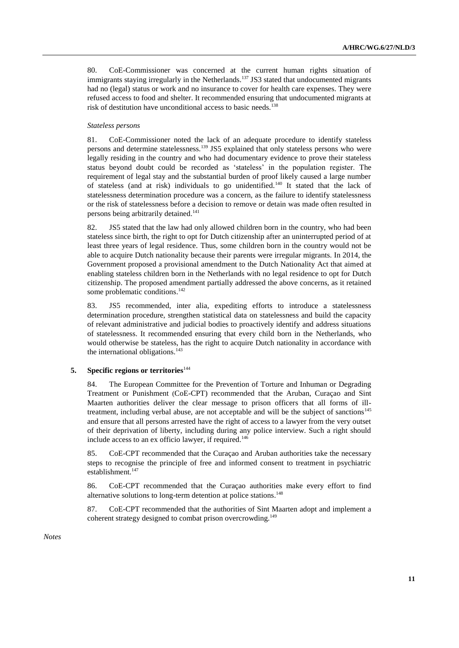80. CoE-Commissioner was concerned at the current human rights situation of immigrants staying irregularly in the Netherlands.<sup>137</sup> JS3 stated that undocumented migrants had no (legal) status or work and no insurance to cover for health care expenses. They were refused access to food and shelter. It recommended ensuring that undocumented migrants at risk of destitution have unconditional access to basic needs.<sup>138</sup>

#### *Stateless persons*

81. CoE-Commissioner noted the lack of an adequate procedure to identify stateless persons and determine statelessness.<sup>139</sup> JS5 explained that only stateless persons who were legally residing in the country and who had documentary evidence to prove their stateless status beyond doubt could be recorded as 'stateless' in the population register. The requirement of legal stay and the substantial burden of proof likely caused a large number of stateless (and at risk) individuals to go unidentified.<sup>140</sup> It stated that the lack of statelessness determination procedure was a concern, as the failure to identify statelessness or the risk of statelessness before a decision to remove or detain was made often resulted in persons being arbitrarily detained.<sup>141</sup>

82. JS5 stated that the law had only allowed children born in the country, who had been stateless since birth, the right to opt for Dutch citizenship after an uninterrupted period of at least three years of legal residence. Thus, some children born in the country would not be able to acquire Dutch nationality because their parents were irregular migrants. In 2014, the Government proposed a provisional amendment to the Dutch Nationality Act that aimed at enabling stateless children born in the Netherlands with no legal residence to opt for Dutch citizenship. The proposed amendment partially addressed the above concerns, as it retained some problematic conditions.<sup>142</sup>

83. JS5 recommended, inter alia, expediting efforts to introduce a statelessness determination procedure, strengthen statistical data on statelessness and build the capacity of relevant administrative and judicial bodies to proactively identify and address situations of statelessness. It recommended ensuring that every child born in the Netherlands, who would otherwise be stateless, has the right to acquire Dutch nationality in accordance with the international obligations. $143$ 

#### **5. Specific regions or territories**<sup>144</sup>

84. The European Committee for the Prevention of Torture and Inhuman or Degrading Treatment or Punishment (CoE-CPT) recommended that the Aruban, Curaçao and Sint Maarten authorities deliver the clear message to prison officers that all forms of illtreatment, including verbal abuse, are not acceptable and will be the subject of sanctions<sup>145</sup> and ensure that all persons arrested have the right of access to a lawyer from the very outset of their deprivation of liberty, including during any police interview. Such a right should include access to an ex officio lawyer, if required.<sup>146</sup>

85. CoE-CPT recommended that the Curaçao and Aruban authorities take the necessary steps to recognise the principle of free and informed consent to treatment in psychiatric establishment.<sup>147</sup>

86. CoE-CPT recommended that the Curaçao authorities make every effort to find alternative solutions to long-term detention at police stations. 148

87. CoE-CPT recommended that the authorities of Sint Maarten adopt and implement a coherent strategy designed to combat prison overcrowding.<sup>149</sup>

*Notes*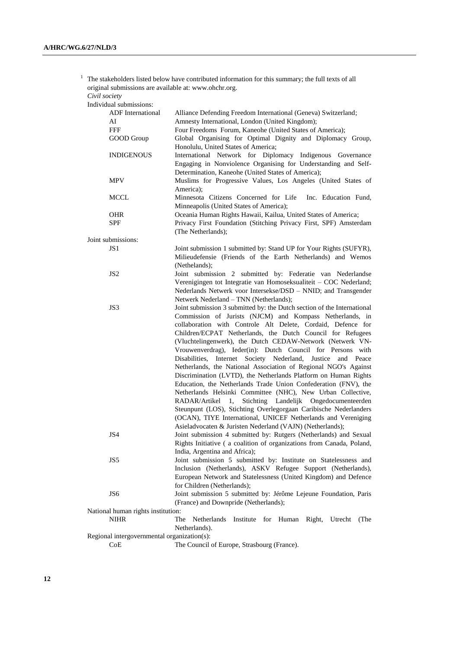$1$  The stakeholders listed below have contributed information for this summary; the full texts of all original submissions are available at: www.ohchr.org.

*Civil society*

| Individual submissions:                     |                                                                                                                                                    |
|---------------------------------------------|----------------------------------------------------------------------------------------------------------------------------------------------------|
| <b>ADF</b> International                    | Alliance Defending Freedom International (Geneva) Switzerland;                                                                                     |
| AI                                          | Amnesty International, London (United Kingdom);                                                                                                    |
| <b>FFF</b>                                  | Four Freedoms Forum, Kaneohe (United States of America);                                                                                           |
| GOOD Group                                  | Global Organising for Optimal Dignity and Diplomacy Group,                                                                                         |
|                                             | Honolulu, United States of America;                                                                                                                |
| <b>INDIGENOUS</b>                           | International Network for Diplomacy Indigenous Governance                                                                                          |
|                                             | Engaging in Nonviolence Organising for Understanding and Self-<br>Determination, Kaneohe (United States of America);                               |
| <b>MPV</b>                                  | Muslims for Progressive Values, Los Angeles (United States of                                                                                      |
|                                             | America);                                                                                                                                          |
| <b>MCCL</b>                                 | Minnesota Citizens Concerned for Life<br>Inc. Education Fund,<br>Minneapolis (United States of America);                                           |
| <b>OHR</b>                                  | Oceania Human Rights Hawaii, Kailua, United States of America;                                                                                     |
| <b>SPF</b>                                  | Privacy First Foundation (Stitching Privacy First, SPF) Amsterdam<br>(The Netherlands);                                                            |
| Joint submissions:                          |                                                                                                                                                    |
| JS1                                         |                                                                                                                                                    |
|                                             | Joint submission 1 submitted by: Stand UP for Your Rights (SUFYR),<br>Milieudefensie (Friends of the Earth Netherlands) and Wemos<br>(Nethelands); |
| JS <sub>2</sub>                             | Joint submission 2 submitted by: Federatie van Nederlandse<br>Verenigingen tot Integratie van Homoseksualiteit - COC Nederland;                    |
|                                             | Nederlands Netwerk voor Intersekse/DSD - NNID; and Transgender<br>Netwerk Nederland - TNN (Netherlands);                                           |
| JS3                                         | Joint submission 3 submitted by: the Dutch section of the International                                                                            |
|                                             | Commission of Jurists (NJCM) and Kompass Netherlands, in                                                                                           |
|                                             | collaboration with Controle Alt Delete, Cordaid, Defence for                                                                                       |
|                                             | Children/ECPAT Netherlands, the Dutch Council for Refugees                                                                                         |
|                                             | (Vluchtelingenwerk), the Dutch CEDAW-Network (Netwerk VN-                                                                                          |
|                                             |                                                                                                                                                    |
|                                             | Vrouwenverdrag), Ieder(in): Dutch Council for Persons with                                                                                         |
|                                             | Internet Society Nederland, Justice<br>Disabilities,<br>and Peace                                                                                  |
|                                             | Netherlands, the National Association of Regional NGO's Against                                                                                    |
|                                             | Discrimination (LVTD), the Netherlands Platform on Human Rights                                                                                    |
|                                             | Education, the Netherlands Trade Union Confederation (FNV), the                                                                                    |
|                                             | Netherlands Helsinki Committee (NHC), New Urban Collective,                                                                                        |
|                                             | Stichting Landelijk Ongedocumenteerden<br>RADAR/Artikel<br>1,                                                                                      |
|                                             | Steunpunt (LOS), Stichting Overlegorgaan Caribische Nederlanders                                                                                   |
|                                             | (OCAN), TIYE International, UNICEF Netherlands and Vereniging                                                                                      |
|                                             | Asieladvocaten & Juristen Nederland (VAJN) (Netherlands);                                                                                          |
| JS4                                         | Joint submission 4 submitted by: Rutgers (Netherlands) and Sexual                                                                                  |
|                                             | Rights Initiative (a coalition of organizations from Canada, Poland,                                                                               |
|                                             | India, Argentina and Africa);                                                                                                                      |
| JS5                                         | Joint submission 5 submitted by: Institute on Statelessness and                                                                                    |
|                                             | Inclusion (Netherlands), ASKV Refugee Support (Netherlands),                                                                                       |
|                                             | European Network and Statelessness (United Kingdom) and Defence                                                                                    |
|                                             | for Children (Netherlands);                                                                                                                        |
| JS6                                         | Joint submission 5 submitted by: Jérôme Lejeune Foundation, Paris                                                                                  |
|                                             | (France) and Downpride (Netherlands);                                                                                                              |
| National human rights institution:          |                                                                                                                                                    |
| <b>NIHR</b>                                 | Netherlands<br>Institute<br>for Human<br>The<br>Right,<br>Utrecht<br>(The                                                                          |
|                                             | Netherlands).                                                                                                                                      |
| Regional intergovernmental organization(s): |                                                                                                                                                    |
| CoE                                         | The Council of Europe, Strasbourg (France).                                                                                                        |
|                                             |                                                                                                                                                    |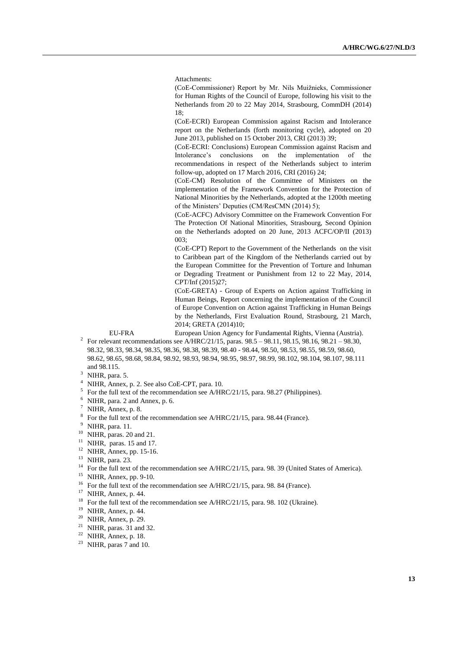Attachments:

(CoE-Commissioner) Report by Mr. Nils Muižnieks, Commissioner for Human Rights of the Council of Europe, following his visit to the Netherlands from 20 to 22 May 2014, Strasbourg, CommDH (2014) 18;

(CoE-ECRI) European Commission against Racism and Intolerance report on the Netherlands (forth monitoring cycle), adopted on 20 June 2013, published on 15 October 2013, CRI (2013) 39;

(CoE-ECRI: Conclusions) European Commission against Racism and Intolerance's conclusions on the implementation of the recommendations in respect of the Netherlands subject to interim follow-up, adopted on 17 March 2016, CRI (2016) 24;

(CoE-CM) Resolution of the Committee of Ministers on the implementation of the Framework Convention for the Protection of National Minorities by the Netherlands, adopted at the 1200th meeting of the Ministers' Deputies (CM/ResCMN (2014) 5);

(CoE-ACFC) Advisory Committee on the Framework Convention For The Protection Of National Minorities, Strasbourg, Second Opinion on the Netherlands adopted on 20 June, 2013 ACFC/OP/II (2013) 003;

(CoE-CPT) Report to the Government of the Netherlands on the visit to Caribbean part of the Kingdom of the Netherlands carried out by the European Committee for the Prevention of Torture and Inhuman or Degrading Treatment or Punishment from 12 to 22 May, 2014, CPT/Inf (2015)27;

(CoE-GRETA) - Group of Experts on Action against Trafficking in Human Beings, Report concerning the implementation of the Council of Europe Convention on Action against Trafficking in Human Beings by the Netherlands, First Evaluation Round, Strasbourg, 21 March, 2014; GRETA (2014)10;

EU-FRA European Union Agency for Fundamental Rights, Vienna (Austria).

- <sup>2</sup> For relevant recommendations see A/HRC/21/15, paras.  $98.5 98.11$ ,  $98.15$ ,  $98.16$ ,  $98.21 98.30$ , 98.32, 98.33, 98.34, 98.35, 98.36, 98.38, 98.39, 98.40 - 98.44, 98.50, 98.53, 98.55, 98.59, 98.60, 98.62, 98.65, 98.68, 98.84, 98.92, 98.93, 98.94, 98.95, 98.97, 98.99, 98.102, 98.104, 98.107, 98.111 and 98.115.
- $3$  NIHR, para. 5.
- <sup>4</sup> NIHR, Annex, p. 2. See also CoE-CPT, para. 10.
- $5$  For the full text of the recommendation see A/HRC/21/15, para. 98.27 (Philippines).
- <sup>6</sup> NIHR, para. 2 and Annex, p. 6.
- <sup>7</sup> NIHR, Annex, p. 8.
- $8\text{ }$  For the full text of the recommendation see A/HRC/21/15, para. 98.44 (France).
- <sup>9</sup> NIHR, para. 11.
- $10$  NIHR, paras. 20 and 21.
- $11$  NIHR, paras. 15 and 17.
- <sup>12</sup> NIHR, Annex, pp. 15-16.
- <sup>13</sup> NIHR, para. 23.
- <sup>14</sup> For the full text of the recommendation see A/HRC/21/15, para. 98. 39 (United States of America).
- <sup>15</sup> NIHR, Annex, pp. 9-10.
- <sup>16</sup> For the full text of the recommendation see A/HRC/21/15, para. 98. 84 (France).
- <sup>17</sup> NIHR, Annex, p. 44.
- <sup>18</sup> For the full text of the recommendation see A/HRC/21/15, para. 98. 102 (Ukraine).
- $19$  NIHR, Annex, p. 44.
- <sup>20</sup> NIHR, Annex, p. 29.
- $21$  NIHR, paras. 31 and 32.
- $22$  NIHR, Annex, p. 18.
- <sup>23</sup> NIHR, paras 7 and 10.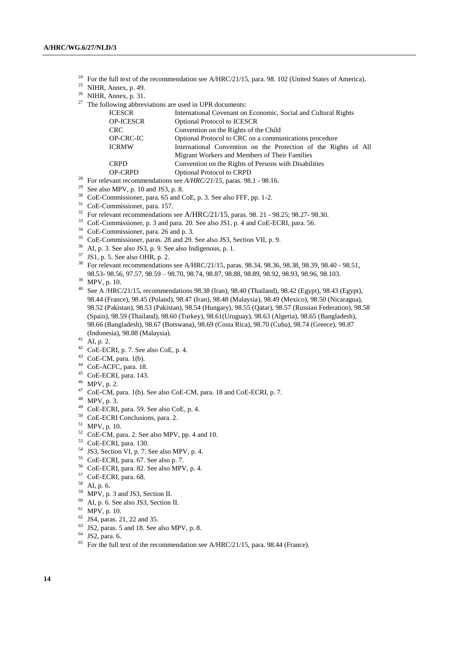<sup>24</sup> For the full text of the recommendation see A/HRC/21/15, para. 98. 102 (United States of America).

- NIHR, Annex, p. 49.
- NIHR, Annex, p. 31.
- The following abbreviations are used in UPR documents:

| <b>ICESCR</b>    | International Covenant on Economic, Social and Cultural Rights  |
|------------------|-----------------------------------------------------------------|
| <b>OP-ICESCR</b> | <b>Optional Protocol to ICESCR</b>                              |
| <b>CRC</b>       | Convention on the Rights of the Child                           |
| <b>OP-CRC-IC</b> | Optional Protocol to CRC on a communications procedure          |
| <b>ICRMW</b>     | International Convention on the Protection of the Rights of All |
|                  | Migrant Workers and Members of Their Families                   |
| <b>CRPD</b>      | Convention on the Rights of Persons with Disabilities           |
| <b>OP-CRPD</b>   | <b>Optional Protocol to CRPD</b>                                |
|                  |                                                                 |

- For relevant recommendations see *A/HRC/21/15*, paras. 98.1 98.16.
- <sup>29</sup> See also MPV, p. 10 and JS3, p. 8.
- CoE-Commissioner, para. 65 and CoE, p. 3. See also FFF, pp. 1-2.
- CoE-Commissioner, para. 157.
- <sup>32</sup> For relevant recommendations see A/HRC/21/15, paras. 98. 21 98.25; 98.27- 98.30.
- CoE-Commissioner, p. 3 and para. 20. See also JS1, p. 4 and CoE-ECRI, para. 56.
- CoE-Commissioner, para. 26 and p. 3.
- CoE-Commissioner, paras. 28 and 29. See also JS3, Section VII, p. 9.
- AI, p. 3. See also JS3, p. 9. See also Indigenous, p. 1.
- JS1, p. 5. See also OHR, p. 2.
- For relevant recommendations see A/HRC/21/15, paras. 98.34, 98.36, 98.38, 98.39, 98.40 98.51, 98.53- 98.56, 97.57, 98.59 – 98.70, 98.74, 98.87, 98.88, 98.89, 98.92, 98.93, 98.96, 98.103.
- MPV, p. 10.
- See A /HRC/21/15, recommendations 98.38 (Iran), 98.40 (Thailand), 98.42 (Egypt), 98.43 (Egypt), 98.44 (France), 98.45 (Poland), 98.47 (Iran), 98.48 (Malaysia), 98.49 (Mexico), 98.50 (Nicaragua), 98.52 (Pakistan), 98.53 (Pakistan), 98.54 (Hungary), 98.55 (Qatar), 98.57 (Russian Federation), 98.58 (Spain), 98.59 (Thailand), 98.60 (Turkey), 98.61(Uruguay), 98.63 (Algeria), 98.65 (Bangladesh), 98.66 (Bangladesh), 98.67 (Botswana), 98.69 (Costa Rica), 98.70 (Cuba), 98.74 (Greece), 98.87 (Indonesia), 98.88 (Malaysia).
- AI, p. 2.
- CoE-ECRI, p. 7. See also CoE, p. 4.
- CoE-CM, para. 1(b).
- CoE-ACFC, para. 18.
- CoE-ECRI, para. 143.
- MPV, p. 2.
- CoE-CM, para. 1(b). See also CoE-CM, para. 18 and CoE-ECRI, p. 7.
- MPV, p. 3.
- CoE-ECRI, para. 59. See also CoE, p. 4.
- CoE-ECRI Conclusions, para. 2.
- MPV, p. 10.
- CoE-CM, para. 2. See also MPV, pp. 4 and 10.
- CoE-ECRI, para. 130.
- JS3, Section VI, p. 7. See also MPV, p. 4.
- CoE-ECRI, para. 67. See also p. 7.
- CoE-ECRI, para. 82. See also MPV, p. 4.
- CoE-ECRI, para. 68.
- AI, p. 6.
- MPV, p. 3 and JS3, Section II.
- AI, p. 6. See also JS3, Section II.
- MPV, p. 10.
- JS4, paras. 21, 22 and 35.
- JS2, paras. 5 and 18. See also MPV, p. 8.
- JS2, para. 6.
- For the full text of the recommendation see A/HRC/21/15, para. 98.44 (France).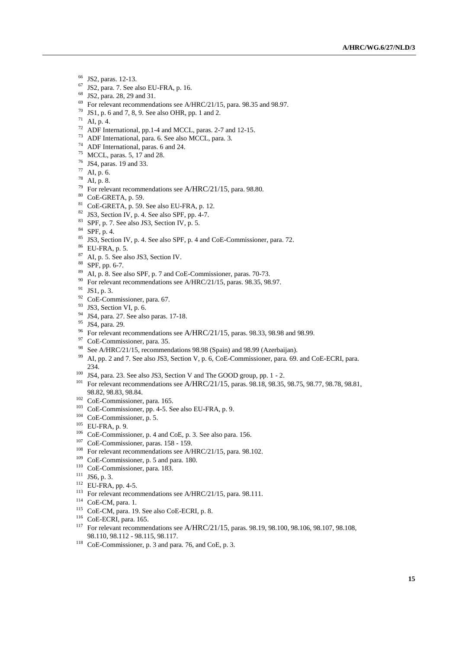- JS2, paras. 12-13.
- JS2, para. 7. See also EU-FRA, p. 16.
- JS2, para. 28, 29 and 31.
- For relevant recommendations see A/HRC/21/15, para. 98.35 and 98.97.
- JS1, p. 6 and 7, 8, 9. See also OHR, pp. 1 and 2.
- AI, p. 4.
- ADF International, pp.1-4 and MCCL, paras. 2-7 and 12-15.
- ADF International, para. 6. See also MCCL, para. 3.
- ADF International, paras. 6 and 24.
- MCCL, paras. 5, 17 and 28.
- JS4, paras. 19 and 33.
- AI, p. 6.
- AI, p. 8.
- <sup>79</sup> For relevant recommendations see A/HRC/21/15, para. 98.80.
- CoE-GRETA, p. 59.
- CoE-GRETA, p. 59. See also EU-FRA, p. 12.
- JS3, Section IV, p. 4. See also SPF, pp. 4-7.
- SPF, p. 7. See also JS3, Section IV, p. 5.
- SPF, p. 4.
- JS3, Section IV, p. 4. See also SPF, p. 4 and CoE-Commissioner, para. 72.
- EU-FRA, p. 5.
- AI, p. 5. See also JS3, Section IV.
- SPF, pp. 6-7.
- AI, p. 8. See also SPF, p. 7 and CoE-Commissioner, paras. 70-73.
- <sup>90</sup> For relevant recommendations see A/HRC/21/15, paras. 98.35, 98.97.
- JS1, p. 3.
- CoE-Commissioner, para. 67.
- <sup>93</sup> JS3, Section VI, p. 6.
- JS4, para. 27. See also paras. 17-18.
- JS4, para. 29.
- <sup>96</sup> For relevant recommendations see A/HRC/21/15, paras. 98.33, 98.98 and 98.99.
- CoE-Commissioner, para. 35.
- <sup>98</sup> See A/HRC/21/15, recommendations 98.98 (Spain) and 98.99 (Azerbaijan).
- AI, pp. 2 and 7. See also JS3, Section V, p. 6, CoE-Commissioner, para. 69. and CoE-ECRI, para. 234.
- JS4, para. 23. See also JS3, Section V and The GOOD group, pp. 1 2.
- <sup>101</sup> For relevant recommendations see A/HRC/21/15, paras. 98.18, 98.35, 98.75, 98.77, 98.78, 98.81, 98.82, 98.83, 98.84.
- CoE-Commissioner, para. 165.
- CoE-Commissioner, pp. 4-5. See also EU-FRA, p. 9.
- CoE-Commissioner, p. 5.
- EU-FRA, p. 9.
- CoE-Commissioner, p. 4 and CoE, p. 3. See also para. 156.
- CoE-Commissioner, paras. 158 159.
- <sup>108</sup> For relevant recommendations see A/HRC/21/15, para. 98.102.
- CoE-Commissioner, p. 5 and para. 180.
- CoE-Commissioner, para. 183.
- <sup>111</sup> JS6, p. 3.
- EU-FRA, pp. 4-5.
- <sup>113</sup> For relevant recommendations see A/HRC/21/15, para. 98.111.
- CoE-CM, para. 1.
- <sup>115</sup> CoE-CM, para. 19. See also CoE-ECRI, p. 8.
- CoE-ECRI, para. 165.
- For relevant recommendations see A/HRC/21/15, paras. 98.19, 98.100, 98.106, 98.107, 98.108, 98.110, 98.112 - 98.115, 98.117.
- CoE-Commissioner, p. 3 and para. 76, and CoE, p. 3.